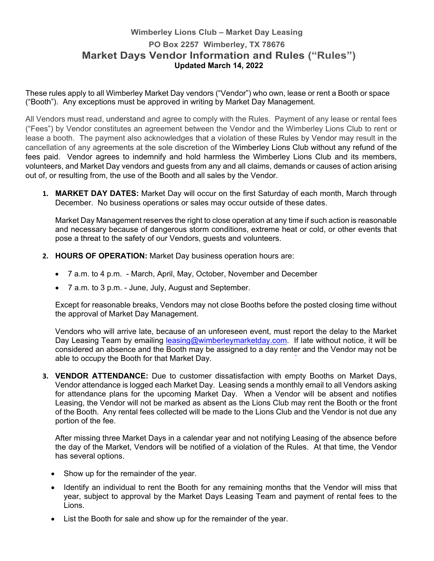## **Wimberley Lions Club – Market Day Leasing PO Box 2257 Wimberley, TX 78676 Market Days Vendor Information and Rules ("Rules") Updated March 14, 2022**

These rules apply to all Wimberley Market Day vendors ("Vendor") who own, lease or rent a Booth or space ("Booth"). Any exceptions must be approved in writing by Market Day Management.

All Vendors must read, understand and agree to comply with the Rules. Payment of any lease or rental fees ("Fees") by Vendor constitutes an agreement between the Vendor and the Wimberley Lions Club to rent or lease a booth. The payment also acknowledges that a violation of these Rules by Vendor may result in the cancellation of any agreements at the sole discretion of the Wimberley Lions Club without any refund of the fees paid. Vendor agrees to indemnify and hold harmless the Wimberley Lions Club and its members, volunteers, and Market Day vendors and guests from any and all claims, demands or causes of action arising out of, or resulting from, the use of the Booth and all sales by the Vendor.

**1. MARKET DAY DATES:** Market Day will occur on the first Saturday of each month, March through December. No business operations or sales may occur outside of these dates.

Market Day Management reserves the right to close operation at any time if such action is reasonable and necessary because of dangerous storm conditions, extreme heat or cold, or other events that pose a threat to the safety of our Vendors, guests and volunteers.

- **2. HOURS OF OPERATION:** Market Day business operation hours are:
	- 7 a.m. to 4 p.m. March, April, May, October, November and December
	- 7 a.m. to 3 p.m. June, July, August and September.

Except for reasonable breaks, Vendors may not close Booths before the posted closing time without the approval of Market Day Management.

Vendors who will arrive late, because of an unforeseen event, must report the delay to the Market Day Leasing Team by emailing leasing@wimberleymarketday.com. If late without notice, it will be considered an absence and the Booth may be assigned to a day renter and the Vendor may not be able to occupy the Booth for that Market Day.

**3. VENDOR ATTENDANCE:** Due to customer dissatisfaction with empty Booths on Market Days, Vendor attendance is logged each Market Day. Leasing sends a monthly email to all Vendors asking for attendance plans for the upcoming Market Day. When a Vendor will be absent and notifies Leasing, the Vendor will not be marked as absent as the Lions Club may rent the Booth or the front of the Booth. Any rental fees collected will be made to the Lions Club and the Vendor is not due any portion of the fee.

After missing three Market Days in a calendar year and not notifying Leasing of the absence before the day of the Market, Vendors will be notified of a violation of the Rules. At that time, the Vendor has several options.

- Show up for the remainder of the year.
- Identify an individual to rent the Booth for any remaining months that the Vendor will miss that year, subject to approval by the Market Days Leasing Team and payment of rental fees to the Lions.
- List the Booth for sale and show up for the remainder of the year.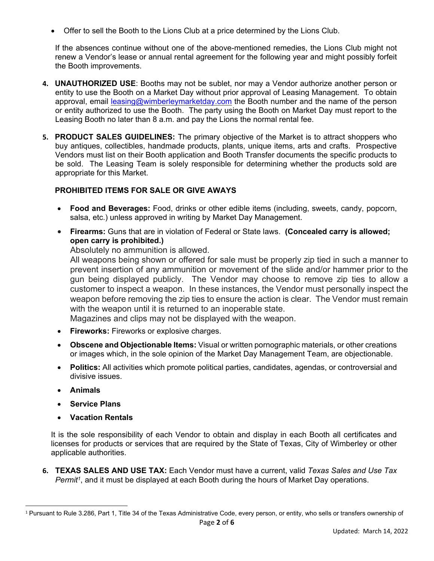Offer to sell the Booth to the Lions Club at a price determined by the Lions Club.

If the absences continue without one of the above-mentioned remedies, the Lions Club might not renew a Vendor's lease or annual rental agreement for the following year and might possibly forfeit the Booth improvements.

- **4. UNAUTHORIZED USE**: Booths may not be sublet, nor may a Vendor authorize another person or entity to use the Booth on a Market Day without prior approval of Leasing Management. To obtain approval, email leasing@wimberleymarketday.com the Booth number and the name of the person or entity authorized to use the Booth. The party using the Booth on Market Day must report to the Leasing Booth no later than 8 a.m. and pay the Lions the normal rental fee.
- **5. PRODUCT SALES GUIDELINES:** The primary objective of the Market is to attract shoppers who buy antiques, collectibles, handmade products, plants, unique items, arts and crafts. Prospective Vendors must list on their Booth application and Booth Transfer documents the specific products to be sold. The Leasing Team is solely responsible for determining whether the products sold are appropriate for this Market.

## **PROHIBITED ITEMS FOR SALE OR GIVE AWAYS**

- **Food and Beverages:** Food, drinks or other edible items (including, sweets, candy, popcorn, salsa, etc.) unless approved in writing by Market Day Management.
- **Firearms:** Guns that are in violation of Federal or State laws. **(Concealed carry is allowed; open carry is prohibited.)**

Absolutely no ammunition is allowed.

All weapons being shown or offered for sale must be properly zip tied in such a manner to prevent insertion of any ammunition or movement of the slide and/or hammer prior to the gun being displayed publicly. The Vendor may choose to remove zip ties to allow a customer to inspect a weapon. In these instances, the Vendor must personally inspect the weapon before removing the zip ties to ensure the action is clear. The Vendor must remain with the weapon until it is returned to an inoperable state.

Magazines and clips may not be displayed with the weapon.

- **Fireworks:** Fireworks or explosive charges.
- **Obscene and Objectionable Items:** Visual or written pornographic materials, or other creations or images which, in the sole opinion of the Market Day Management Team, are objectionable.
- **Politics:** All activities which promote political parties, candidates, agendas, or controversial and divisive issues.
- **Animals**
- **Service Plans**
- **Vacation Rentals**

It is the sole responsibility of each Vendor to obtain and display in each Booth all certificates and licenses for products or services that are required by the State of Texas, City of Wimberley or other applicable authorities.

**6. TEXAS SALES AND USE TAX:** Each Vendor must have a current, valid *Texas Sales and Use Tax Permit<sup>1</sup>*, and it must be displayed at each Booth during the hours of Market Day operations.

Page **2** of **6** <sup>1</sup> Pursuant to Rule 3.286, Part 1, Title 34 of the Texas Administrative Code, every person, or entity, who sells or transfers ownership of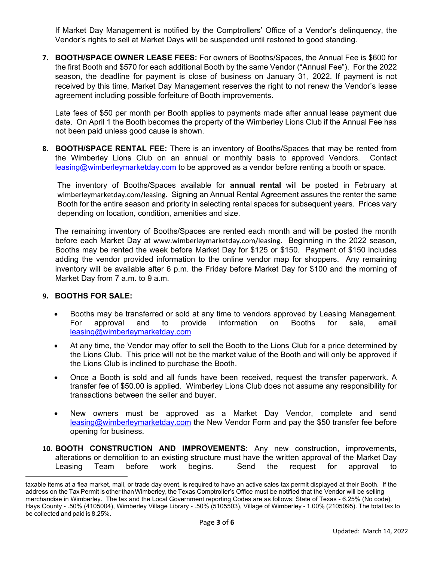If Market Day Management is notified by the Comptrollers' Office of a Vendor's delinquency, the Vendor's rights to sell at Market Days will be suspended until restored to good standing.

**7. BOOTH/SPACE OWNER LEASE FEES:** For owners of Booths/Spaces, the Annual Fee is \$600 for the first Booth and \$570 for each additional Booth by the same Vendor ("Annual Fee"). For the 2022 season, the deadline for payment is close of business on January 31, 2022. If payment is not received by this time, Market Day Management reserves the right to not renew the Vendor's lease agreement including possible forfeiture of Booth improvements.

Late fees of \$50 per month per Booth applies to payments made after annual lease payment due date. On April 1 the Booth becomes the property of the Wimberley Lions Club if the Annual Fee has not been paid unless good cause is shown.

**8. BOOTH/SPACE RENTAL FEE:** There is an inventory of Booths/Spaces that may be rented from the Wimberley Lions Club on an annual or monthly basis to approved Vendors. Contact leasing@wimberleymarketday.com to be approved as a vendor before renting a booth or space.

The inventory of Booths/Spaces available for **annual rental** will be posted in February at wimberleymarketday.com/leasing. Signing an Annual Rental Agreement assures the renter the same Booth for the entire season and priority in selecting rental spaces for subsequent years. Prices vary depending on location, condition, amenities and size.

The remaining inventory of Booths/Spaces are rented each month and will be posted the month before each Market Day at www.wimberleymarketday.com/leasing. Beginning in the 2022 season, Booths may be rented the week before Market Day for \$125 or \$150. Payment of \$150 includes adding the vendor provided information to the online vendor map for shoppers. Any remaining inventory will be available after 6 p.m. the Friday before Market Day for \$100 and the morning of Market Day from 7 a.m. to 9 a.m.

## **9. BOOTHS FOR SALE:**

- Booths may be transferred or sold at any time to vendors approved by Leasing Management. For approval and to provide information on Booths for sale, email leasing@wimberleymarketday.com
- At any time, the Vendor may offer to sell the Booth to the Lions Club for a price determined by the Lions Club. This price will not be the market value of the Booth and will only be approved if the Lions Club is inclined to purchase the Booth.
- Once a Booth is sold and all funds have been received, request the transfer paperwork. A transfer fee of \$50.00 is applied. Wimberley Lions Club does not assume any responsibility for transactions between the seller and buyer.
- New owners must be approved as a Market Day Vendor, complete and send leasing@wimberleymarketday.com the New Vendor Form and pay the \$50 transfer fee before opening for business.
- **10. BOOTH CONSTRUCTION AND IMPROVEMENTS:** Any new construction, improvements, alterations or demolition to an existing structure must have the written approval of the Market Day Leasing Team before work begins. Send the request for approval to

taxable items at a flea market, mall, or trade day event, is required to have an active sales tax permit displayed at their Booth. If the address on the Tax Permit is other than Wimberley, the Texas Comptroller's Office must be notified that the Vendor will be selling merchandise in Wimberley. The tax and the Local Government reporting Codes are as follows: State of Texas - 6.25% (No code), Hays County - .50% (4105004), Wimberley Village Library - .50% (5105503), Village of Wimberley - 1.00% (2105095). The total tax to be collected and paid is 8.25%.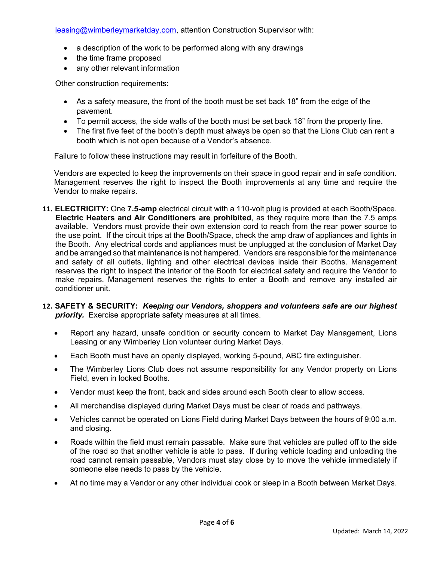leasing@wimberleymarketday.com, attention Construction Supervisor with:

- a description of the work to be performed along with any drawings
- the time frame proposed
- any other relevant information

Other construction requirements:

- As a safety measure, the front of the booth must be set back 18" from the edge of the pavement.
- To permit access, the side walls of the booth must be set back 18" from the property line.
- The first five feet of the booth's depth must always be open so that the Lions Club can rent a booth which is not open because of a Vendor's absence.

Failure to follow these instructions may result in forfeiture of the Booth.

Vendors are expected to keep the improvements on their space in good repair and in safe condition. Management reserves the right to inspect the Booth improvements at any time and require the Vendor to make repairs.

- **11. ELECTRICITY:** One **7.5-amp** electrical circuit with a 110-volt plug is provided at each Booth/Space. **Electric Heaters and Air Conditioners are prohibited**, as they require more than the 7.5 amps available. Vendors must provide their own extension cord to reach from the rear power source to the use point. If the circuit trips at the Booth/Space, check the amp draw of appliances and lights in the Booth. Any electrical cords and appliances must be unplugged at the conclusion of Market Day and be arranged so that maintenance is not hampered. Vendors are responsible for the maintenance and safety of all outlets, lighting and other electrical devices inside their Booths. Management reserves the right to inspect the interior of the Booth for electrical safety and require the Vendor to make repairs. Management reserves the rights to enter a Booth and remove any installed air conditioner unit.
- **12. SAFETY & SECURITY:** *Keeping our Vendors, shoppers and volunteers safe are our highest*  **priority.** Exercise appropriate safety measures at all times.
	- Report any hazard, unsafe condition or security concern to Market Day Management, Lions Leasing or any Wimberley Lion volunteer during Market Days.
	- Each Booth must have an openly displayed, working 5-pound, ABC fire extinguisher.
	- The Wimberley Lions Club does not assume responsibility for any Vendor property on Lions Field, even in locked Booths.
	- Vendor must keep the front, back and sides around each Booth clear to allow access.
	- All merchandise displayed during Market Days must be clear of roads and pathways.
	- Vehicles cannot be operated on Lions Field during Market Days between the hours of 9:00 a.m. and closing.
	- Roads within the field must remain passable. Make sure that vehicles are pulled off to the side of the road so that another vehicle is able to pass. If during vehicle loading and unloading the road cannot remain passable, Vendors must stay close by to move the vehicle immediately if someone else needs to pass by the vehicle.
	- At no time may a Vendor or any other individual cook or sleep in a Booth between Market Days.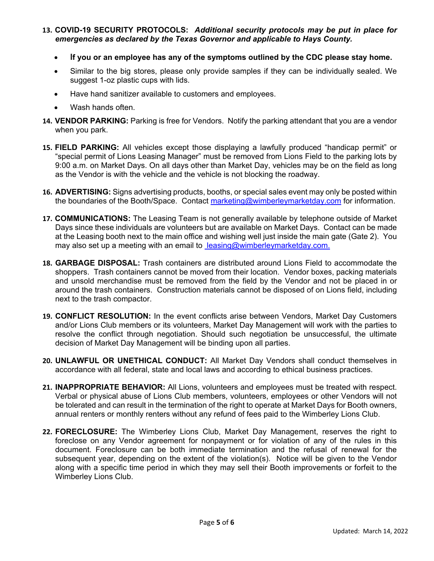- **13. COVID-19 SECURITY PROTOCOLS:** *Additional security protocols may be put in place for emergencies as declared by the Texas Governor and applicable to Hays County.*
	- **If you or an employee has any of the symptoms outlined by the CDC please stay home.**
	- Similar to the big stores, please only provide samples if they can be individually sealed. We suggest 1-oz plastic cups with lids.
	- Have hand sanitizer available to customers and employees.
	- Wash hands often.
- **14. VENDOR PARKING:** Parking is free for Vendors. Notify the parking attendant that you are a vendor when you park.
- **15. FIELD PARKING:** All vehicles except those displaying a lawfully produced "handicap permit" or "special permit of Lions Leasing Manager" must be removed from Lions Field to the parking lots by 9:00 a.m. on Market Days. On all days other than Market Day, vehicles may be on the field as long as the Vendor is with the vehicle and the vehicle is not blocking the roadway.
- **16. ADVERTISING:** Signs advertising products, booths, or special sales event may only be posted within the boundaries of the Booth/Space. Contact marketing@wimberleymarketday.com for information.
- **17. COMMUNICATIONS:** The Leasing Team is not generally available by telephone outside of Market Days since these individuals are volunteers but are available on Market Days. Contact can be made at the Leasing booth next to the main office and wishing well just inside the main gate (Gate 2). You may also set up a meeting with an email to leasing@wimberleymarketday.com.
- **18. GARBAGE DISPOSAL:** Trash containers are distributed around Lions Field to accommodate the shoppers. Trash containers cannot be moved from their location. Vendor boxes, packing materials and unsold merchandise must be removed from the field by the Vendor and not be placed in or around the trash containers. Construction materials cannot be disposed of on Lions field, including next to the trash compactor.
- **19. CONFLICT RESOLUTION:** In the event conflicts arise between Vendors, Market Day Customers and/or Lions Club members or its volunteers, Market Day Management will work with the parties to resolve the conflict through negotiation. Should such negotiation be unsuccessful, the ultimate decision of Market Day Management will be binding upon all parties.
- **20. UNLAWFUL OR UNETHICAL CONDUCT:** All Market Day Vendors shall conduct themselves in accordance with all federal, state and local laws and according to ethical business practices.
- **21. INAPPROPRIATE BEHAVIOR:** All Lions, volunteers and employees must be treated with respect. Verbal or physical abuse of Lions Club members, volunteers, employees or other Vendors will not be tolerated and can result in the termination of the right to operate at Market Days for Booth owners, annual renters or monthly renters without any refund of fees paid to the Wimberley Lions Club.
- **22. FORECLOSURE:** The Wimberley Lions Club, Market Day Management, reserves the right to foreclose on any Vendor agreement for nonpayment or for violation of any of the rules in this document. Foreclosure can be both immediate termination and the refusal of renewal for the subsequent year, depending on the extent of the violation(s). Notice will be given to the Vendor along with a specific time period in which they may sell their Booth improvements or forfeit to the Wimberley Lions Club.